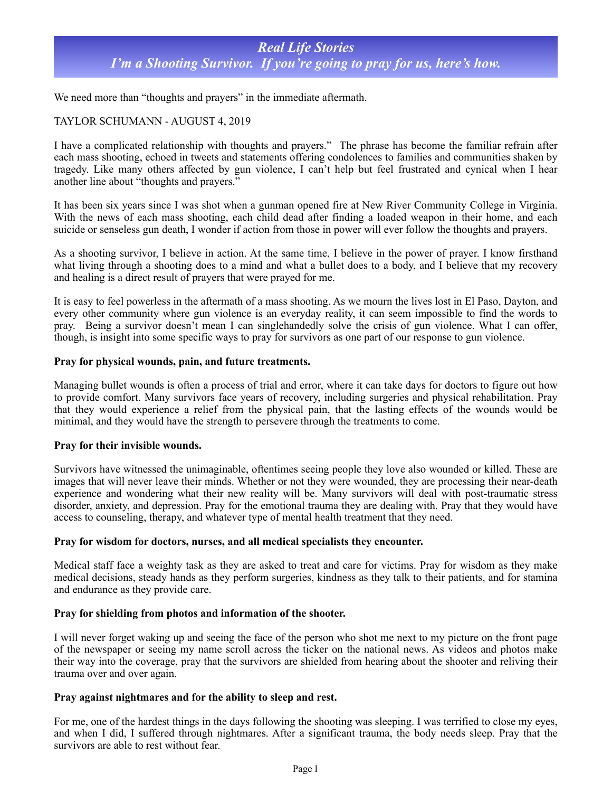# *Real Life Stories I'm a Shooting Survivor. If you're going to pray for us, here's how.*

We need more than "thoughts and prayers" in the immediate aftermath.

# TAYLOR SCHUMANN - AUGUST 4, 2019

I have a complicated relationship with thoughts and prayers." The phrase has become the familiar refrain after each mass shooting, echoed in tweets and statements offering condolences to families and communities shaken by tragedy. Like many others affected by gun violence, I can't help but feel frustrated and cynical when I hear another line about "thoughts and prayers."

It has been six years since I was shot when a gunman opened fire at New River Community College in Virginia. With the news of each mass shooting, each child dead after finding a loaded weapon in their home, and each suicide or senseless gun death, I wonder if action from those in power will ever follow the thoughts and prayers.

As a shooting survivor, I believe in action. At the same time, I believe in the power of prayer. I know firsthand what living through a shooting does to a mind and what a bullet does to a body, and I believe that my recovery and healing is a direct result of prayers that were prayed for me.

It is easy to feel powerless in the aftermath of a mass shooting. As we mourn the lives lost in El Paso, Dayton, and every other community where gun violence is an everyday reality, it can seem impossible to find the words to pray. Being a survivor doesn't mean I can singlehandedly solve the crisis of gun violence. What I can offer, though, is insight into some specific ways to pray for survivors as one part of our response to gun violence.

## **Pray for physical wounds, pain, and future treatments.**

Managing bullet wounds is often a process of trial and error, where it can take days for doctors to figure out how to provide comfort. Many survivors face years of recovery, including surgeries and physical rehabilitation. Pray that they would experience a relief from the physical pain, that the lasting effects of the wounds would be minimal, and they would have the strength to persevere through the treatments to come.

### **Pray for their invisible wounds.**

Survivors have witnessed the unimaginable, oftentimes seeing people they love also wounded or killed. These are images that will never leave their minds. Whether or not they were wounded, they are processing their near-death experience and wondering what their new reality will be. Many survivors will deal with post-traumatic stress disorder, anxiety, and depression. Pray for the emotional trauma they are dealing with. Pray that they would have access to counseling, therapy, and whatever type of mental health treatment that they need.

### **Pray for wisdom for doctors, nurses, and all medical specialists they encounter.**

Medical staff face a weighty task as they are asked to treat and care for victims. Pray for wisdom as they make medical decisions, steady hands as they perform surgeries, kindness as they talk to their patients, and for stamina and endurance as they provide care.

## **Pray for shielding from photos and information of the shooter.**

I will never forget waking up and seeing the face of the person who shot me next to my picture on the front page of the newspaper or seeing my name scroll across the ticker on the national news. As videos and photos make their way into the coverage, pray that the survivors are shielded from hearing about the shooter and reliving their trauma over and over again.

### **Pray against nightmares and for the ability to sleep and rest.**

For me, one of the hardest things in the days following the shooting was sleeping. I was terrified to close my eyes, and when I did, I suffered through nightmares. After a significant trauma, the body needs sleep. Pray that the survivors are able to rest without fear.